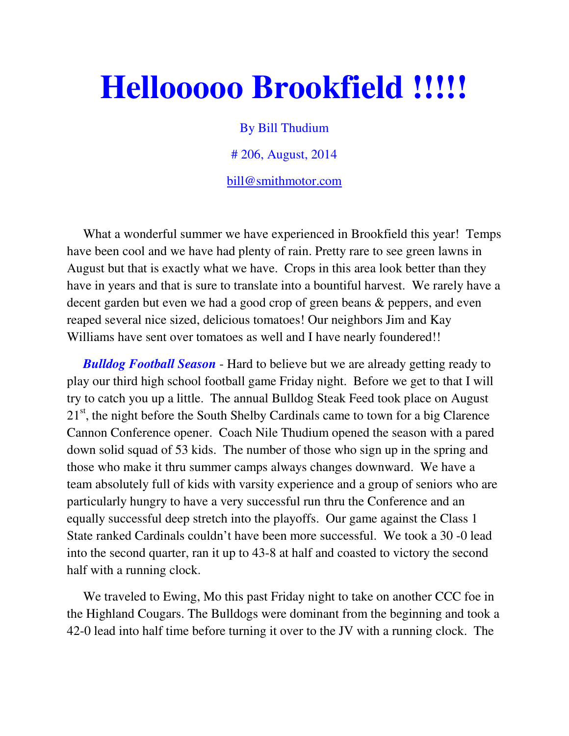## **Hellooooo Brookfield !!!!!**

By Bill Thudium

# 206, August, 2014

bill@smithmotor.com

 What a wonderful summer we have experienced in Brookfield this year! Temps have been cool and we have had plenty of rain. Pretty rare to see green lawns in August but that is exactly what we have. Crops in this area look better than they have in years and that is sure to translate into a bountiful harvest. We rarely have a decent garden but even we had a good crop of green beans & peppers, and even reaped several nice sized, delicious tomatoes! Our neighbors Jim and Kay Williams have sent over tomatoes as well and I have nearly foundered!!

 *Bulldog Football Season* - Hard to believe but we are already getting ready to play our third high school football game Friday night. Before we get to that I will try to catch you up a little. The annual Bulldog Steak Feed took place on August  $21<sup>st</sup>$ , the night before the South Shelby Cardinals came to town for a big Clarence Cannon Conference opener. Coach Nile Thudium opened the season with a pared down solid squad of 53 kids. The number of those who sign up in the spring and those who make it thru summer camps always changes downward. We have a team absolutely full of kids with varsity experience and a group of seniors who are particularly hungry to have a very successful run thru the Conference and an equally successful deep stretch into the playoffs. Our game against the Class 1 State ranked Cardinals couldn't have been more successful. We took a 30 -0 lead into the second quarter, ran it up to 43-8 at half and coasted to victory the second half with a running clock.

 We traveled to Ewing, Mo this past Friday night to take on another CCC foe in the Highland Cougars. The Bulldogs were dominant from the beginning and took a 42-0 lead into half time before turning it over to the JV with a running clock. The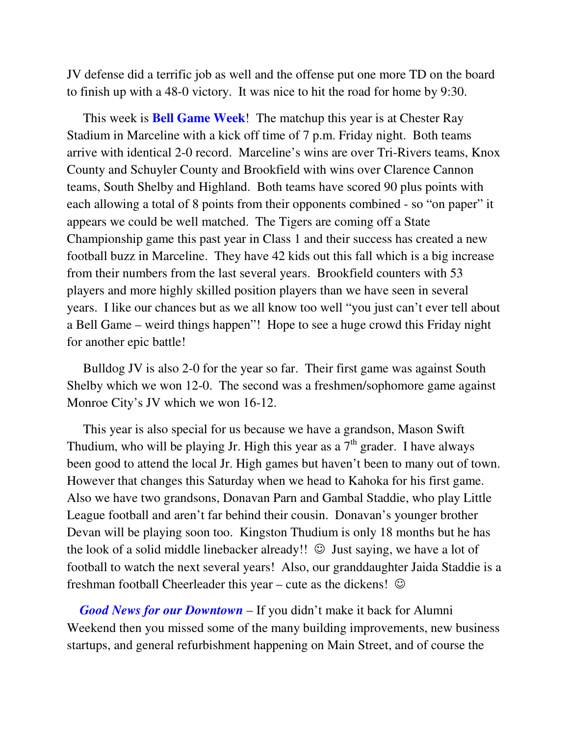JV defense did a terrific job as well and the offense put one more TD on the board to finish up with a 48-0 victory. It was nice to hit the road for home by 9:30.

 This week is **Bell Game Week**! The matchup this year is at Chester Ray Stadium in Marceline with a kick off time of 7 p.m. Friday night. Both teams arrive with identical 2-0 record. Marceline's wins are over Tri-Rivers teams, Knox County and Schuyler County and Brookfield with wins over Clarence Cannon teams, South Shelby and Highland. Both teams have scored 90 plus points with each allowing a total of 8 points from their opponents combined - so "on paper" it appears we could be well matched. The Tigers are coming off a State Championship game this past year in Class 1 and their success has created a new football buzz in Marceline. They have 42 kids out this fall which is a big increase from their numbers from the last several years. Brookfield counters with 53 players and more highly skilled position players than we have seen in several years. I like our chances but as we all know too well "you just can't ever tell about a Bell Game – weird things happen"! Hope to see a huge crowd this Friday night for another epic battle!

 Bulldog JV is also 2-0 for the year so far. Their first game was against South Shelby which we won 12-0. The second was a freshmen/sophomore game against Monroe City's JV which we won 16-12.

 This year is also special for us because we have a grandson, Mason Swift Thudium, who will be playing Jr. High this year as a  $7<sup>th</sup>$  grader. I have always been good to attend the local Jr. High games but haven't been to many out of town. However that changes this Saturday when we head to Kahoka for his first game. Also we have two grandsons, Donavan Parn and Gambal Staddie, who play Little League football and aren't far behind their cousin. Donavan's younger brother Devan will be playing soon too. Kingston Thudium is only 18 months but he has the look of a solid middle linebacker already!!  $\odot$  Just saying, we have a lot of football to watch the next several years! Also, our granddaughter Jaida Staddie is a freshman football Cheerleader this year – cute as the dickens!  $\odot$ 

 *Good News for our Downtown* – If you didn't make it back for Alumni Weekend then you missed some of the many building improvements, new business startups, and general refurbishment happening on Main Street, and of course the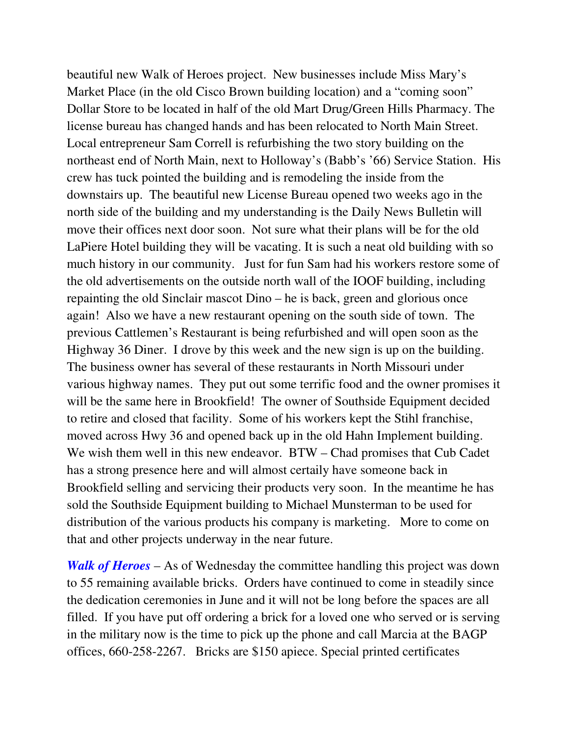beautiful new Walk of Heroes project. New businesses include Miss Mary's Market Place (in the old Cisco Brown building location) and a "coming soon" Dollar Store to be located in half of the old Mart Drug/Green Hills Pharmacy. The license bureau has changed hands and has been relocated to North Main Street. Local entrepreneur Sam Correll is refurbishing the two story building on the northeast end of North Main, next to Holloway's (Babb's '66) Service Station. His crew has tuck pointed the building and is remodeling the inside from the downstairs up. The beautiful new License Bureau opened two weeks ago in the north side of the building and my understanding is the Daily News Bulletin will move their offices next door soon. Not sure what their plans will be for the old LaPiere Hotel building they will be vacating. It is such a neat old building with so much history in our community. Just for fun Sam had his workers restore some of the old advertisements on the outside north wall of the IOOF building, including repainting the old Sinclair mascot Dino – he is back, green and glorious once again! Also we have a new restaurant opening on the south side of town. The previous Cattlemen's Restaurant is being refurbished and will open soon as the Highway 36 Diner. I drove by this week and the new sign is up on the building. The business owner has several of these restaurants in North Missouri under various highway names. They put out some terrific food and the owner promises it will be the same here in Brookfield! The owner of Southside Equipment decided to retire and closed that facility. Some of his workers kept the Stihl franchise, moved across Hwy 36 and opened back up in the old Hahn Implement building. We wish them well in this new endeavor. BTW – Chad promises that Cub Cadet has a strong presence here and will almost certaily have someone back in Brookfield selling and servicing their products very soon. In the meantime he has sold the Southside Equipment building to Michael Munsterman to be used for distribution of the various products his company is marketing. More to come on that and other projects underway in the near future.

*Walk of Heroes* – As of Wednesday the committee handling this project was down to 55 remaining available bricks. Orders have continued to come in steadily since the dedication ceremonies in June and it will not be long before the spaces are all filled. If you have put off ordering a brick for a loved one who served or is serving in the military now is the time to pick up the phone and call Marcia at the BAGP offices, 660-258-2267. Bricks are \$150 apiece. Special printed certificates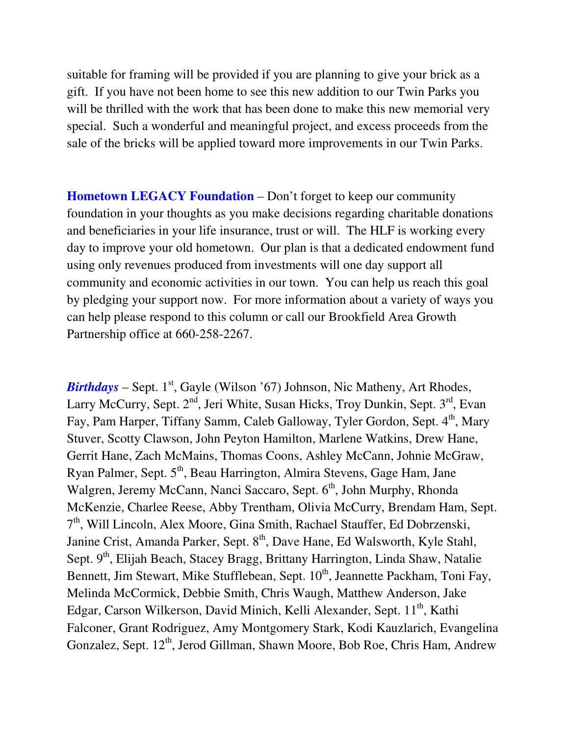suitable for framing will be provided if you are planning to give your brick as a gift. If you have not been home to see this new addition to our Twin Parks you will be thrilled with the work that has been done to make this new memorial very special. Such a wonderful and meaningful project, and excess proceeds from the sale of the bricks will be applied toward more improvements in our Twin Parks.

**Hometown LEGACY Foundation** – Don't forget to keep our community foundation in your thoughts as you make decisions regarding charitable donations and beneficiaries in your life insurance, trust or will. The HLF is working every day to improve your old hometown. Our plan is that a dedicated endowment fund using only revenues produced from investments will one day support all community and economic activities in our town. You can help us reach this goal by pledging your support now. For more information about a variety of ways you can help please respond to this column or call our Brookfield Area Growth Partnership office at 660-258-2267.

*Birthdays* – Sept.  $1^{st}$ , Gayle (Wilson '67) Johnson, Nic Matheny, Art Rhodes, Larry McCurry, Sept. 2<sup>nd</sup>, Jeri White, Susan Hicks, Troy Dunkin, Sept. 3<sup>rd</sup>, Evan Fay, Pam Harper, Tiffany Samm, Caleb Galloway, Tyler Gordon, Sept. 4<sup>th</sup>, Mary Stuver, Scotty Clawson, John Peyton Hamilton, Marlene Watkins, Drew Hane, Gerrit Hane, Zach McMains, Thomas Coons, Ashley McCann, Johnie McGraw, Ryan Palmer, Sept. 5<sup>th</sup>, Beau Harrington, Almira Stevens, Gage Ham, Jane Walgren, Jeremy McCann, Nanci Saccaro, Sept. 6<sup>th</sup>, John Murphy, Rhonda McKenzie, Charlee Reese, Abby Trentham, Olivia McCurry, Brendam Ham, Sept. 7<sup>th</sup>, Will Lincoln, Alex Moore, Gina Smith, Rachael Stauffer, Ed Dobrzenski, Janine Crist, Amanda Parker, Sept. 8<sup>th</sup>, Dave Hane, Ed Walsworth, Kyle Stahl, Sept. 9<sup>th</sup>, Elijah Beach, Stacey Bragg, Brittany Harrington, Linda Shaw, Natalie Bennett, Jim Stewart, Mike Stufflebean, Sept. 10<sup>th</sup>, Jeannette Packham, Toni Fay, Melinda McCormick, Debbie Smith, Chris Waugh, Matthew Anderson, Jake Edgar, Carson Wilkerson, David Minich, Kelli Alexander, Sept. 11<sup>th</sup>, Kathi Falconer, Grant Rodriguez, Amy Montgomery Stark, Kodi Kauzlarich, Evangelina Gonzalez, Sept. 12<sup>th</sup>, Jerod Gillman, Shawn Moore, Bob Roe, Chris Ham, Andrew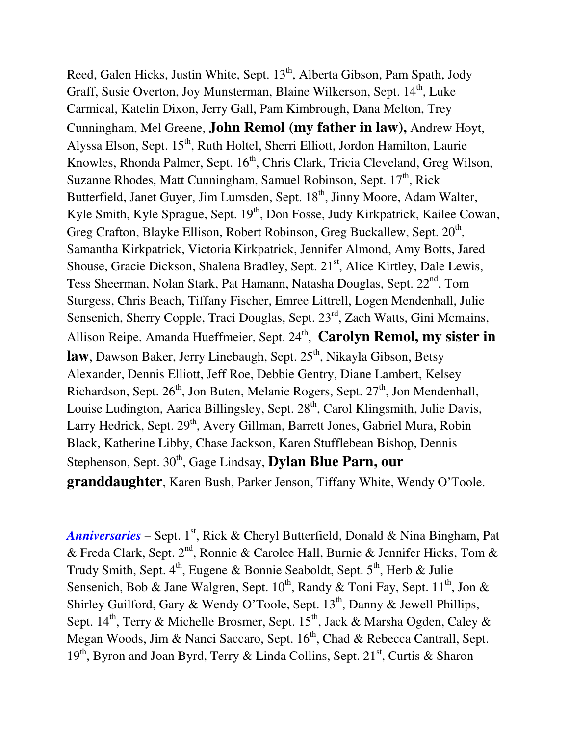Reed, Galen Hicks, Justin White, Sept. 13<sup>th</sup>, Alberta Gibson, Pam Spath, Jody Graff, Susie Overton, Joy Munsterman, Blaine Wilkerson, Sept. 14<sup>th</sup>, Luke Carmical, Katelin Dixon, Jerry Gall, Pam Kimbrough, Dana Melton, Trey Cunningham, Mel Greene, **John Remol (my father in law),** Andrew Hoyt, Alyssa Elson, Sept. 15<sup>th</sup>, Ruth Holtel, Sherri Elliott, Jordon Hamilton, Laurie Knowles, Rhonda Palmer, Sept. 16<sup>th</sup>, Chris Clark, Tricia Cleveland, Greg Wilson, Suzanne Rhodes, Matt Cunningham, Samuel Robinson, Sept. 17<sup>th</sup>, Rick Butterfield, Janet Guyer, Jim Lumsden, Sept. 18<sup>th</sup>, Jinny Moore, Adam Walter, Kyle Smith, Kyle Sprague, Sept.  $19<sup>th</sup>$ , Don Fosse, Judy Kirkpatrick, Kailee Cowan, Greg Crafton, Blayke Ellison, Robert Robinson, Greg Buckallew, Sept. 20<sup>th</sup>, Samantha Kirkpatrick, Victoria Kirkpatrick, Jennifer Almond, Amy Botts, Jared Shouse, Gracie Dickson, Shalena Bradley, Sept. 21<sup>st</sup>, Alice Kirtley, Dale Lewis, Tess Sheerman, Nolan Stark, Pat Hamann, Natasha Douglas, Sept. 22<sup>nd</sup>, Tom Sturgess, Chris Beach, Tiffany Fischer, Emree Littrell, Logen Mendenhall, Julie Sensenich, Sherry Copple, Traci Douglas, Sept. 23rd, Zach Watts, Gini Mcmains, Allison Reipe, Amanda Hueffmeier, Sept. 24<sup>th</sup>, Carolyn Remol, my sister in **law**, Dawson Baker, Jerry Linebaugh, Sept. 25<sup>th</sup>, Nikayla Gibson, Betsy Alexander, Dennis Elliott, Jeff Roe, Debbie Gentry, Diane Lambert, Kelsey Richardson, Sept.  $26<sup>th</sup>$ , Jon Buten, Melanie Rogers, Sept.  $27<sup>th</sup>$ , Jon Mendenhall, Louise Ludington, Aarica Billingsley, Sept.  $28<sup>th</sup>$ , Carol Klingsmith, Julie Davis, Larry Hedrick, Sept. 29<sup>th</sup>, Avery Gillman, Barrett Jones, Gabriel Mura, Robin Black, Katherine Libby, Chase Jackson, Karen Stufflebean Bishop, Dennis Stephenson, Sept. 30<sup>th</sup>, Gage Lindsay, **Dylan Blue Parn, our granddaughter**, Karen Bush, Parker Jenson, Tiffany White, Wendy O'Toole.

*Anniversaries* – Sept. 1<sup>st</sup>, Rick & Cheryl Butterfield, Donald & Nina Bingham, Pat & Freda Clark, Sept.  $2^{nd}$ , Ronnie & Carolee Hall, Burnie & Jennifer Hicks, Tom & Trudy Smith, Sept.  $4^{th}$ , Eugene & Bonnie Seaboldt, Sept.  $5^{th}$ , Herb & Julie Sensenich, Bob & Jane Walgren, Sept.  $10^{th}$ , Randy & Toni Fay, Sept.  $11^{th}$ , Jon & Shirley Guilford, Gary & Wendy O'Toole, Sept.  $13<sup>th</sup>$ , Danny & Jewell Phillips, Sept. 14<sup>th</sup>, Terry & Michelle Brosmer, Sept. 15<sup>th</sup>, Jack & Marsha Ogden, Caley & Megan Woods, Jim & Nanci Saccaro, Sept. 16<sup>th</sup>, Chad & Rebecca Cantrall, Sept.  $19<sup>th</sup>$ , Byron and Joan Byrd, Terry & Linda Collins, Sept. 21<sup>st</sup>, Curtis & Sharon